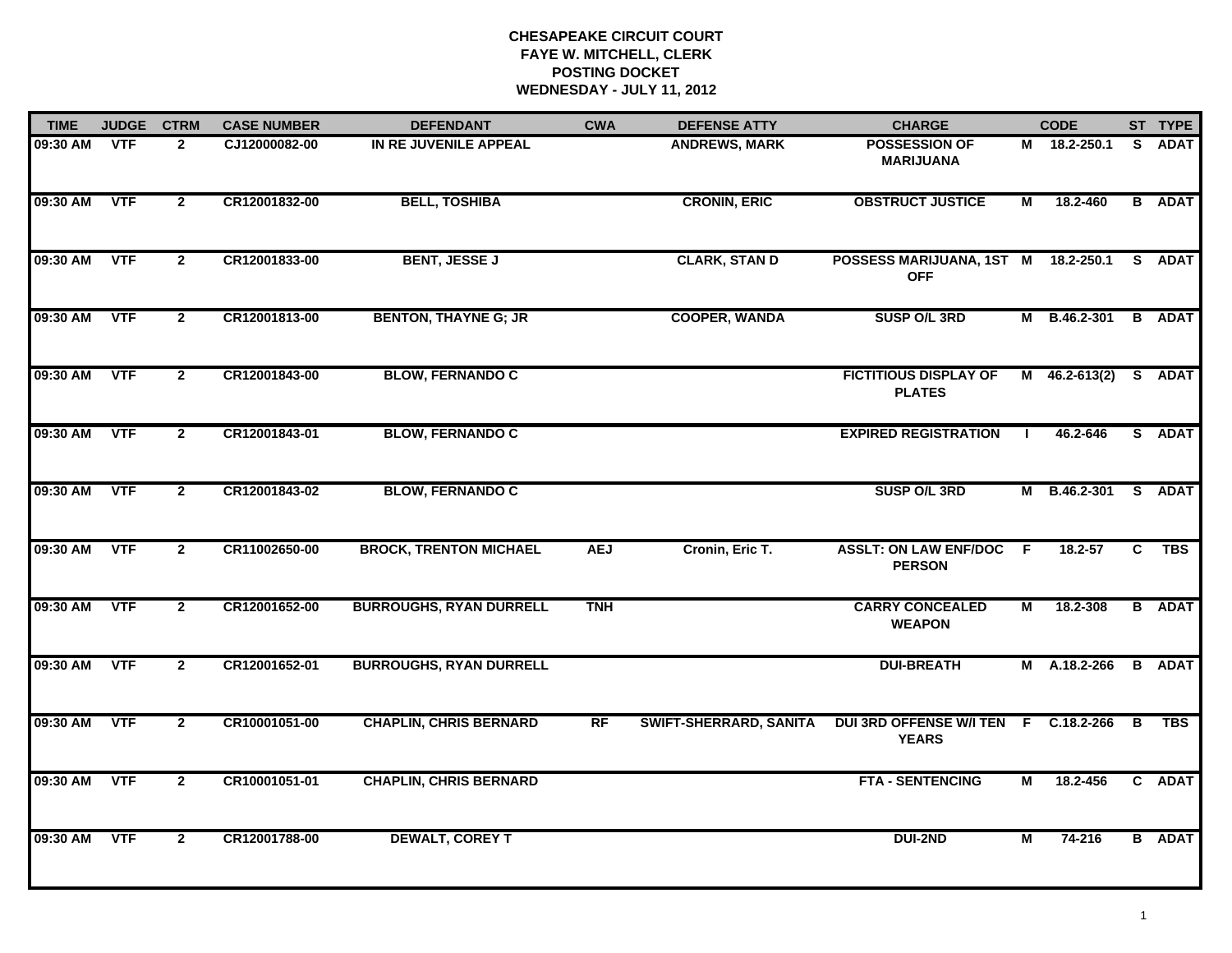| <b>TIME</b> | <b>JUDGE</b> | <b>CTRM</b>    | <b>CASE NUMBER</b> | <b>DEFENDANT</b>               | <b>CWA</b> | <b>DEFENSE ATTY</b>           | <b>CHARGE</b>                                     |                | <b>CODE</b>     |    | ST TYPE       |
|-------------|--------------|----------------|--------------------|--------------------------------|------------|-------------------------------|---------------------------------------------------|----------------|-----------------|----|---------------|
| 09:30 AM    | <b>VTF</b>   | $\mathbf{2}$   | CJ12000082-00      | IN RE JUVENILE APPEAL          |            | <b>ANDREWS, MARK</b>          | <b>POSSESSION OF</b><br><b>MARIJUANA</b>          |                | M 18.2-250.1    | S. | <b>ADAT</b>   |
| 09:30 AM    | <b>VTF</b>   | $\mathbf{2}$   | CR12001832-00      | <b>BELL, TOSHIBA</b>           |            | <b>CRONIN, ERIC</b>           | <b>OBSTRUCT JUSTICE</b>                           | М              | 18.2-460        |    | <b>B</b> ADAT |
| 09:30 AM    | <b>VTF</b>   | $\mathbf{2}$   | CR12001833-00      | <b>BENT, JESSE J</b>           |            | <b>CLARK, STAN D</b>          | POSSESS MARIJUANA, 1ST M 18.2-250.1<br><b>OFF</b> |                |                 |    | S ADAT        |
| 09:30 AM    | <b>VTF</b>   | $\mathbf{2}$   | CR12001813-00      | <b>BENTON, THAYNE G; JR</b>    |            | <b>COOPER, WANDA</b>          | <b>SUSP O/L 3RD</b>                               |                | M B.46.2-301    |    | <b>B</b> ADAT |
| 09:30 AM    | <b>VTF</b>   | $\mathbf{2}$   | CR12001843-00      | <b>BLOW, FERNANDO C</b>        |            |                               | <b>FICTITIOUS DISPLAY OF</b><br><b>PLATES</b>     |                | $M$ 46.2-613(2) |    | S ADAT        |
| 09:30 AM    | <b>VTF</b>   | $\mathbf{2}$   | CR12001843-01      | <b>BLOW, FERNANDO C</b>        |            |                               | <b>EXPIRED REGISTRATION</b>                       |                | 46.2-646        | S. | <b>ADAT</b>   |
| 09:30 AM    | <b>VTF</b>   | $\overline{2}$ | CR12001843-02      | <b>BLOW, FERNANDO C</b>        |            |                               | <b>SUSP O/L 3RD</b>                               |                | M B.46.2-301    |    | S ADAT        |
| 09:30 AM    | <b>VTF</b>   | $\mathbf{2}$   | CR11002650-00      | <b>BROCK, TRENTON MICHAEL</b>  | <b>AEJ</b> | Cronin, Eric T.               | <b>ASSLT: ON LAW ENF/DOC</b><br><b>PERSON</b>     | - F            | 18.2-57         | C. | TBS           |
| 09:30 AM    | <b>VTF</b>   | $\overline{2}$ | CR12001652-00      | <b>BURROUGHS, RYAN DURRELL</b> | <b>TNH</b> |                               | <b>CARRY CONCEALED</b><br><b>WEAPON</b>           | М              | 18.2-308        |    | <b>B</b> ADAT |
| 09:30 AM    | <b>VTF</b>   | $\overline{2}$ | CR12001652-01      | <b>BURROUGHS, RYAN DURRELL</b> |            |                               | <b>DUI-BREATH</b>                                 |                | M A.18.2-266    |    | <b>B</b> ADAT |
| 09:30 AM    | <b>VTF</b>   | $\overline{2}$ | CR10001051-00      | <b>CHAPLIN, CHRIS BERNARD</b>  | RF         | <b>SWIFT-SHERRARD, SANITA</b> | <b>DUI 3RD OFFENSE W/I TEN F</b><br><b>YEARS</b>  |                | C.18.2-266      | B  | <b>TBS</b>    |
| 09:30 AM    | <b>VTF</b>   | $\overline{2}$ | CR10001051-01      | <b>CHAPLIN, CHRIS BERNARD</b>  |            |                               | <b>FTA - SENTENCING</b>                           | М              | 18.2-456        |    | C ADAT        |
| 09:30 AM    | <b>VTF</b>   | $\mathbf{2}$   | CR12001788-00      | <b>DEWALT, COREY T</b>         |            |                               | <b>DUI-2ND</b>                                    | $\overline{M}$ | 74-216          |    | <b>B</b> ADAT |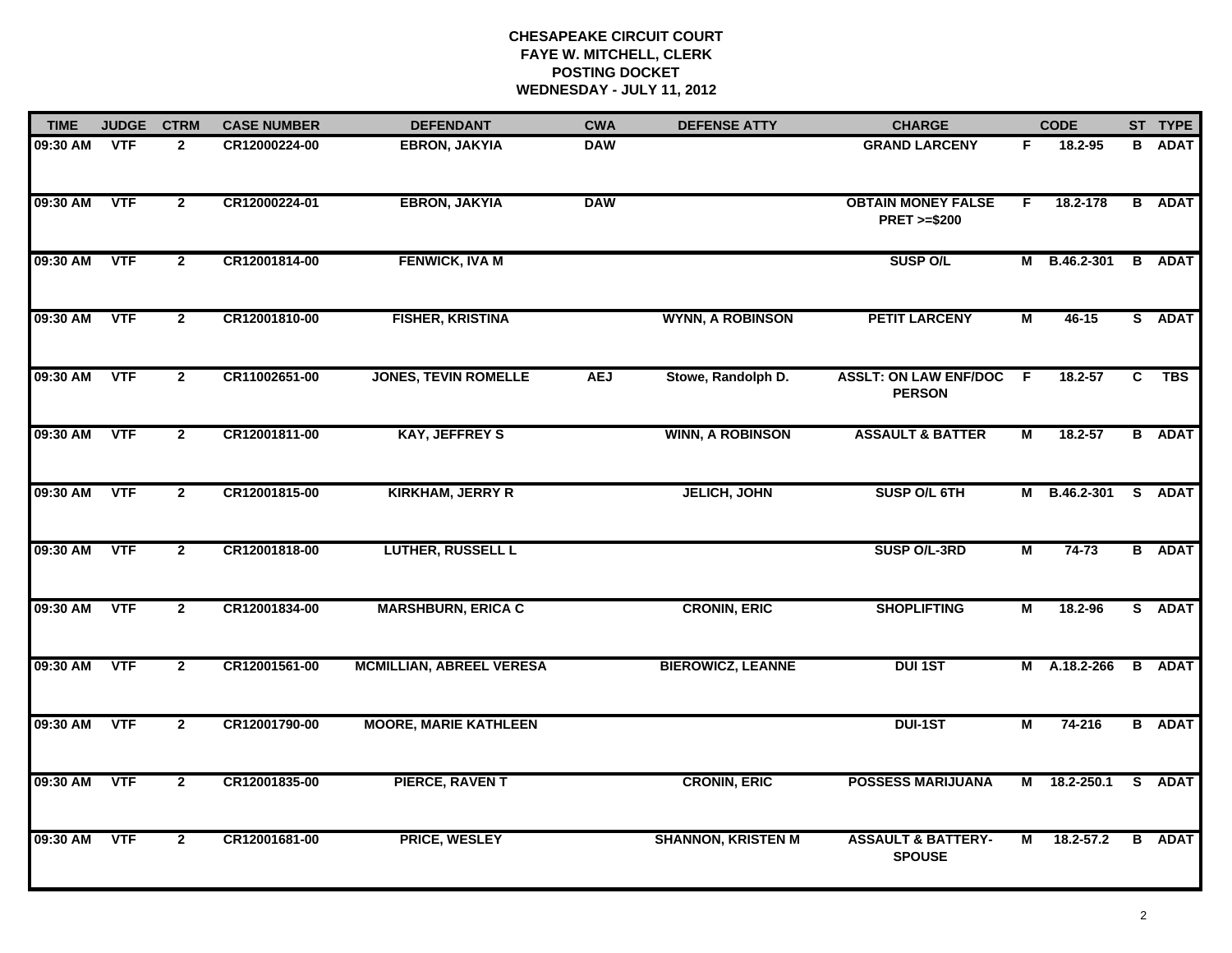| <b>TIME</b> | <b>JUDGE</b> | <b>CTRM</b>    | <b>CASE NUMBER</b> | <b>DEFENDANT</b>                | <b>CWA</b> | <b>DEFENSE ATTY</b>       | <b>CHARGE</b>                                       | <b>CODE</b> |               |   | ST TYPE       |
|-------------|--------------|----------------|--------------------|---------------------------------|------------|---------------------------|-----------------------------------------------------|-------------|---------------|---|---------------|
| 09:30 AM    | VTF          | $\mathbf{2}$   | CR12000224-00      | <b>EBRON, JAKYIA</b>            | <b>DAW</b> |                           | <b>GRAND LARCENY</b>                                | F           | $18.2 - 95$   |   | <b>B</b> ADAT |
| 09:30 AM    | <b>VTF</b>   | $\overline{2}$ | CR12000224-01      | <b>EBRON, JAKYIA</b>            | <b>DAW</b> |                           | <b>OBTAIN MONEY FALSE</b><br><b>PRET &gt;=\$200</b> | F.          | 18.2-178      |   | <b>B</b> ADAT |
| 09:30 AM    | <b>VTF</b>   | $\mathbf{2}$   | CR12001814-00      | <b>FENWICK, IVA M</b>           |            |                           | <b>SUSP O/L</b>                                     |             | M B.46.2-301  |   | <b>B</b> ADAT |
| 09:30 AM    | <b>VTF</b>   | $\mathbf{2}$   | CR12001810-00      | <b>FISHER, KRISTINA</b>         |            | <b>WYNN, A ROBINSON</b>   | <b>PETIT LARCENY</b>                                | М           | 46-15         |   | S ADAT        |
| 09:30 AM    | <b>VTF</b>   | $\mathbf{2}$   | CR11002651-00      | <b>JONES, TEVIN ROMELLE</b>     | <b>AEJ</b> | Stowe, Randolph D.        | <b>ASSLT: ON LAW ENF/DOC</b><br><b>PERSON</b>       | <b>F</b>    | 18.2-57       | C | <b>TBS</b>    |
| 09:30 AM    | <b>VTF</b>   | $\mathbf{2}$   | CR12001811-00      | <b>KAY, JEFFREY S</b>           |            | <b>WINN, A ROBINSON</b>   | <b>ASSAULT &amp; BATTER</b>                         | М           | 18.2-57       |   | <b>B</b> ADAT |
| 09:30 AM    | <b>VTF</b>   | $\overline{2}$ | CR12001815-00      | <b>KIRKHAM, JERRY R</b>         |            | <b>JELICH, JOHN</b>       | SUSP O/L 6TH                                        |             | M B.46.2-301  |   | S ADAT        |
| 09:30 AM    | <b>VTF</b>   | $\mathbf{2}$   | CR12001818-00      | <b>LUTHER, RUSSELL L</b>        |            |                           | SUSP O/L-3RD                                        | М           | $74 - 73$     |   | <b>B</b> ADAT |
| 09:30 AM    | <b>VTF</b>   | $\mathbf{2}$   | CR12001834-00      | <b>MARSHBURN, ERICA C</b>       |            | <b>CRONIN, ERIC</b>       | <b>SHOPLIFTING</b>                                  | М           | 18.2-96       |   | S ADAT        |
| 09:30 AM    | <b>VTF</b>   | $\mathbf{2}$   | CR12001561-00      | <b>MCMILLIAN, ABREEL VERESA</b> |            | <b>BIEROWICZ, LEANNE</b>  | <b>DUI 1ST</b>                                      | М           | A.18.2-266    |   | <b>B</b> ADAT |
| 09:30 AM    | <b>VTF</b>   | $\mathbf{2}$   | CR12001790-00      | <b>MOORE, MARIE KATHLEEN</b>    |            |                           | DUI-1ST                                             | М           | 74-216        |   | <b>B</b> ADAT |
| 09:30 AM    | <b>VTF</b>   | $\overline{2}$ | CR12001835-00      | <b>PIERCE, RAVENT</b>           |            | <b>CRONIN, ERIC</b>       | <b>POSSESS MARIJUANA</b>                            | M           | 18.2-250.1    |   | S ADAT        |
| 09:30 AM    | <b>VTF</b>   | $\mathbf{2}$   | CR12001681-00      | <b>PRICE, WESLEY</b>            |            | <b>SHANNON, KRISTEN M</b> | <b>ASSAULT &amp; BATTERY-</b><br><b>SPOUSE</b>      | М           | $18.2 - 57.2$ |   | <b>B</b> ADAT |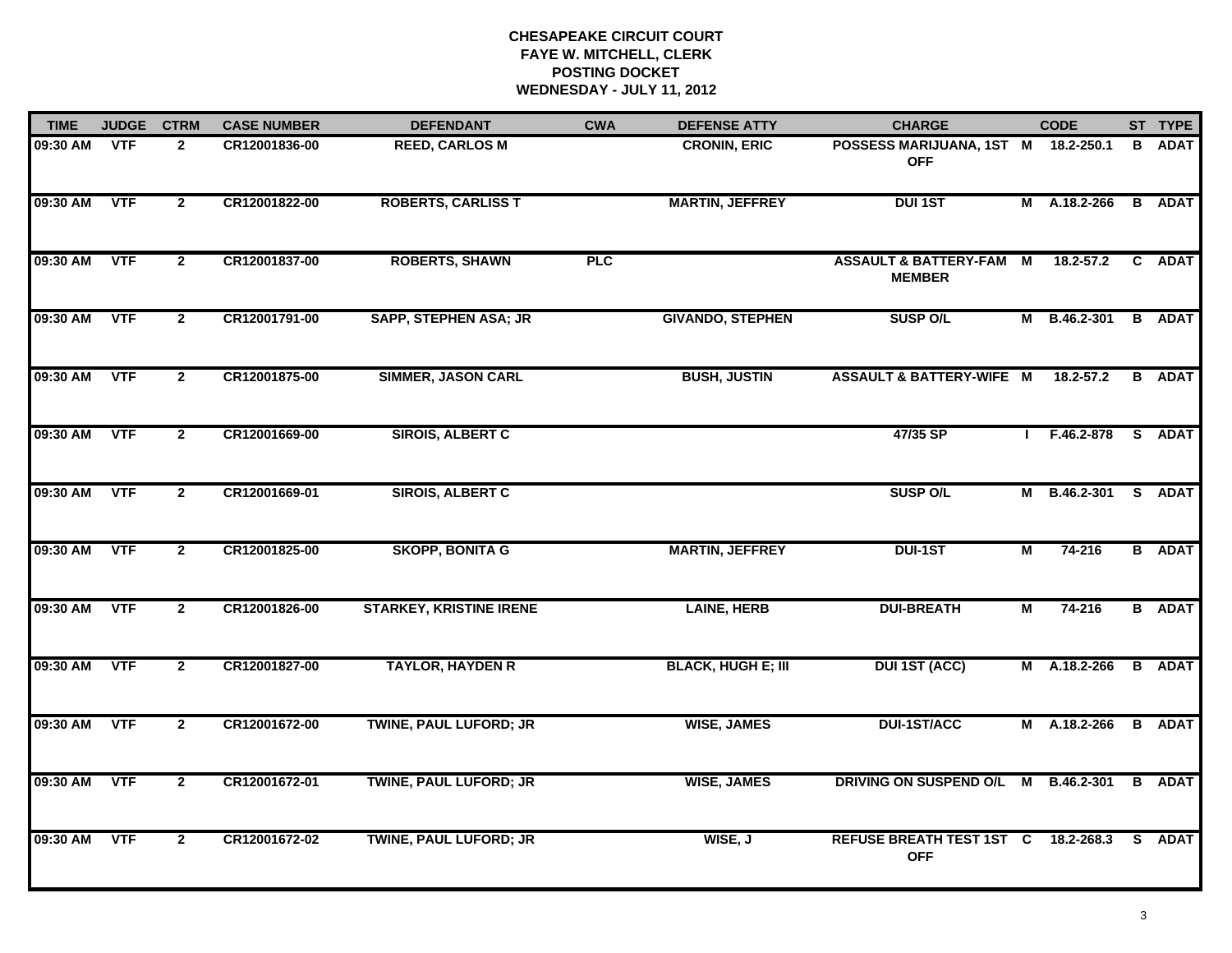| <b>TIME</b> | <b>JUDGE</b> | <b>CTRM</b>    | <b>CASE NUMBER</b> | <b>DEFENDANT</b>               | <b>CWA</b> | <b>DEFENSE ATTY</b>       | <b>CHARGE</b>                                       |              | <b>CODE</b>         |    | ST TYPE       |
|-------------|--------------|----------------|--------------------|--------------------------------|------------|---------------------------|-----------------------------------------------------|--------------|---------------------|----|---------------|
| 09:30 AM    | <b>VTF</b>   | $\mathbf{2}$   | CR12001836-00      | <b>REED, CARLOS M</b>          |            | <b>CRONIN, ERIC</b>       | POSSESS MARIJUANA, 1ST M<br><b>OFF</b>              |              | 18.2-250.1          | В  | <b>ADAT</b>   |
| 09:30 AM    | <b>VTF</b>   | $\mathbf{2}$   | CR12001822-00      | <b>ROBERTS, CARLISS T</b>      |            | <b>MARTIN, JEFFREY</b>    | <b>DUI 1ST</b>                                      |              | M A.18.2-266        |    | <b>B</b> ADAT |
| 09:30 AM    | <b>VTF</b>   | $\overline{2}$ | CR12001837-00      | <b>ROBERTS, SHAWN</b>          | PLC        |                           | <b>ASSAULT &amp; BATTERY-FAM M</b><br><b>MEMBER</b> |              | 18.2-57.2           | C. | <b>ADAT</b>   |
| 09:30 AM    | <b>VTF</b>   | $\overline{2}$ | CR12001791-00      | <b>SAPP, STEPHEN ASA; JR</b>   |            | <b>GIVANDO, STEPHEN</b>   | <b>SUSP O/L</b>                                     |              | M B.46.2-301        |    | <b>B</b> ADAT |
| 09:30 AM    | <b>VTF</b>   | $\mathbf{2}$   | CR12001875-00      | <b>SIMMER, JASON CARL</b>      |            | <b>BUSH, JUSTIN</b>       | <b>ASSAULT &amp; BATTERY-WIFE M</b>                 |              | 18.2-57.2           |    | <b>B</b> ADAT |
| 09:30 AM    | <b>VTF</b>   | $\overline{2}$ | CR12001669-00      | <b>SIROIS, ALBERT C</b>        |            |                           | 47/35 SP                                            | $\mathbf{I}$ | F.46.2-878 S ADAT   |    |               |
| 09:30 AM    | <b>VTF</b>   | $\overline{2}$ | CR12001669-01      | <b>SIROIS, ALBERT C</b>        |            |                           | <b>SUSP O/L</b>                                     |              | M B.46.2-301 S ADAT |    |               |
| 09:30 AM    | <b>VTF</b>   | $\mathbf{2}$   | CR12001825-00      | <b>SKOPP, BONITA G</b>         |            | <b>MARTIN, JEFFREY</b>    | <b>DUI-1ST</b>                                      | М            | 74-216              |    | <b>B</b> ADAT |
| 09:30 AM    | <b>VTF</b>   | $\overline{2}$ | CR12001826-00      | <b>STARKEY, KRISTINE IRENE</b> |            | <b>LAINE, HERB</b>        | <b>DUI-BREATH</b>                                   | M            | $74 - 216$          |    | <b>B</b> ADAT |
| 09:30 AM    | VTF          | $\mathbf{2}$   | CR12001827-00      | <b>TAYLOR, HAYDEN R</b>        |            | <b>BLACK, HUGH E; III</b> | <b>DUI 1ST (ACC)</b>                                |              | M A.18.2-266        |    | <b>B</b> ADAT |
| 09:30 AM    | <b>VTF</b>   | $\mathbf{2}$   | CR12001672-00      | TWINE, PAUL LUFORD; JR         |            | <b>WISE, JAMES</b>        | <b>DUI-1ST/ACC</b>                                  |              | M A.18.2-266        |    | <b>B</b> ADAT |
| 09:30 AM    | <b>VTF</b>   | $\overline{2}$ | CR12001672-01      | <b>TWINE, PAUL LUFORD; JR</b>  |            | <b>WISE, JAMES</b>        | DRIVING ON SUSPEND O/L                              | M            | <b>B.46.2-301</b>   |    | <b>B</b> ADAT |
| 09:30 AM    | <b>VTF</b>   | $\mathbf{2}$   | CR12001672-02      | <b>TWINE, PAUL LUFORD; JR</b>  |            | WISE, J                   | <b>REFUSE BREATH TEST 1ST C</b><br><b>OFF</b>       |              | 18.2-268.3          | S. | <b>ADAT</b>   |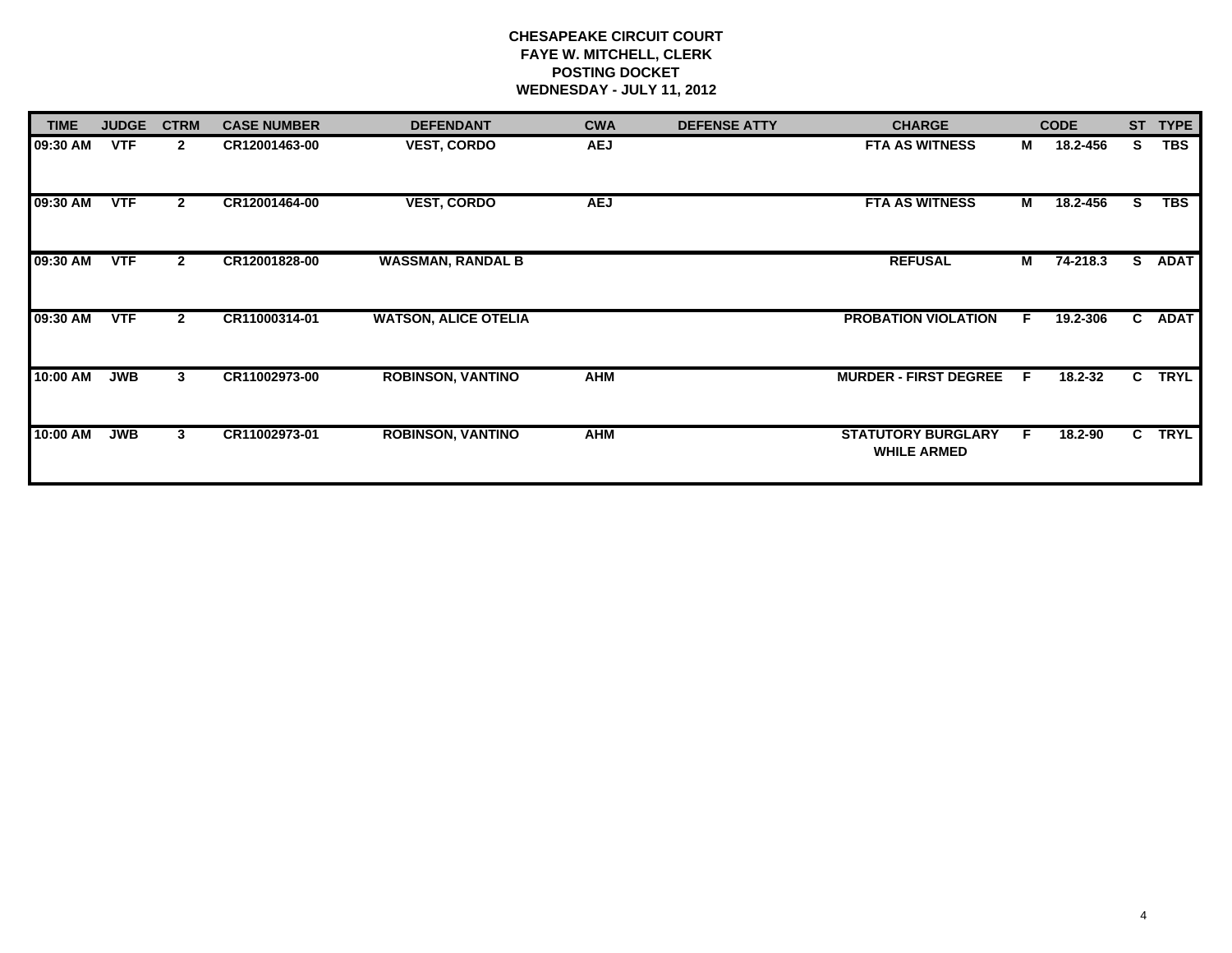| <b>TIME</b> | <b>JUDGE</b> | <b>CTRM</b>  | <b>CASE NUMBER</b> | <b>DEFENDANT</b>            | <b>CWA</b> | <b>DEFENSE ATTY</b> | <b>CHARGE</b>                                   |    | <b>CODE</b> | <b>ST</b> | <b>TYPE</b> |
|-------------|--------------|--------------|--------------------|-----------------------------|------------|---------------------|-------------------------------------------------|----|-------------|-----------|-------------|
| 09:30 AM    | <b>VTF</b>   | $\mathbf{2}$ | CR12001463-00      | <b>VEST, CORDO</b>          | <b>AEJ</b> |                     | <b>FTA AS WITNESS</b>                           | М  | 18.2-456    | S         | <b>TBS</b>  |
| 09:30 AM    | <b>VTF</b>   | $\mathbf{2}$ | CR12001464-00      | <b>VEST, CORDO</b>          | <b>AEJ</b> |                     | <b>FTA AS WITNESS</b>                           | М  | 18.2-456    | s         | TBS         |
| 09:30 AM    | <b>VTF</b>   | $\mathbf{2}$ | CR12001828-00      | <b>WASSMAN, RANDAL B</b>    |            |                     | <b>REFUSAL</b>                                  | М  | 74-218.3    | S.        | <b>ADAT</b> |
| 09:30 AM    | <b>VTF</b>   | $\mathbf{2}$ | CR11000314-01      | <b>WATSON, ALICE OTELIA</b> |            |                     | <b>PROBATION VIOLATION</b>                      | F. | 19.2-306    | C.        | <b>ADAT</b> |
| 10:00 AM    | <b>JWB</b>   | 3            | CR11002973-00      | <b>ROBINSON, VANTINO</b>    | <b>AHM</b> |                     | <b>MURDER - FIRST DEGREE</b>                    |    | 18.2-32     | C.        | <b>TRYL</b> |
| 10:00 AM    | <b>JWB</b>   | 3            | CR11002973-01      | <b>ROBINSON, VANTINO</b>    | <b>AHM</b> |                     | <b>STATUTORY BURGLARY</b><br><b>WHILE ARMED</b> |    | 18.2-90     | C.        | <b>TRYL</b> |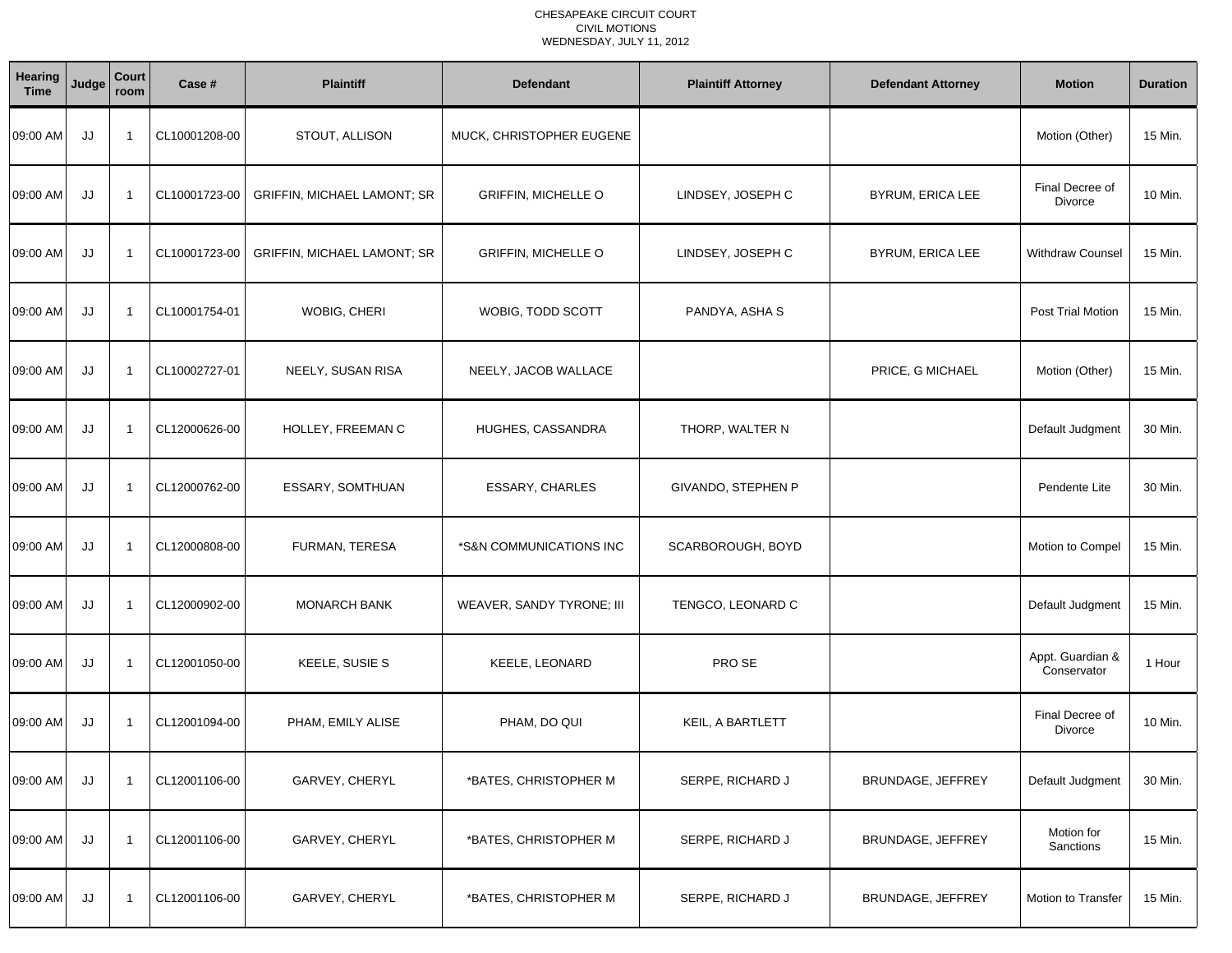| Hearing<br><b>Time</b> | Judge | Court<br>room           | Case #        | <b>Plaintiff</b>                   | <b>Defendant</b>           | <b>Plaintiff Attorney</b> | <b>Defendant Attorney</b> | <b>Motion</b>                   | <b>Duration</b> |
|------------------------|-------|-------------------------|---------------|------------------------------------|----------------------------|---------------------------|---------------------------|---------------------------------|-----------------|
| 09:00 AM               | JJ    | -1                      | CL10001208-00 | STOUT, ALLISON                     | MUCK, CHRISTOPHER EUGENE   |                           |                           | Motion (Other)                  | 15 Min.         |
| 09:00 AM               | JJ    | $\overline{1}$          | CL10001723-00 | <b>GRIFFIN, MICHAEL LAMONT; SR</b> | <b>GRIFFIN, MICHELLE O</b> | LINDSEY, JOSEPH C         | BYRUM, ERICA LEE          | Final Decree of<br>Divorce      | 10 Min.         |
| 09:00 AM               | JJ    | -1                      | CL10001723-00 | <b>GRIFFIN, MICHAEL LAMONT; SR</b> | <b>GRIFFIN, MICHELLE O</b> | LINDSEY, JOSEPH C         | <b>BYRUM, ERICA LEE</b>   | <b>Withdraw Counsel</b>         | 15 Min.         |
| 09:00 AM               | JJ    | $\overline{1}$          | CL10001754-01 | WOBIG, CHERI                       | WOBIG, TODD SCOTT          | PANDYA, ASHA S            |                           | Post Trial Motion               | 15 Min.         |
| 09:00 AM               | JJ    | $\overline{1}$          | CL10002727-01 | NEELY, SUSAN RISA                  | NEELY, JACOB WALLACE       |                           | PRICE, G MICHAEL          | Motion (Other)                  | 15 Min.         |
| 09:00 AM               | JJ    | -1                      | CL12000626-00 | HOLLEY, FREEMAN C                  | HUGHES, CASSANDRA          | THORP, WALTER N           |                           | Default Judgment                | 30 Min.         |
| 09:00 AM               | JJ    | $\overline{\mathbf{1}}$ | CL12000762-00 | ESSARY, SOMTHUAN                   | <b>ESSARY, CHARLES</b>     | GIVANDO, STEPHEN P        |                           | Pendente Lite                   | 30 Min.         |
| 09:00 AM               | JJ    | -1                      | CL12000808-00 | FURMAN, TERESA                     | *S&N COMMUNICATIONS INC    | SCARBOROUGH, BOYD         |                           | Motion to Compel                | 15 Min.         |
| 09:00 AM               | JJ    | -1                      | CL12000902-00 | <b>MONARCH BANK</b>                | WEAVER, SANDY TYRONE; III  | TENGCO, LEONARD C         |                           | Default Judgment                | 15 Min.         |
| 09:00 AM               | JJ    | -1                      | CL12001050-00 | KEELE, SUSIE S                     | KEELE, LEONARD             | PRO SE                    |                           | Appt. Guardian &<br>Conservator | 1 Hour          |
| 09:00 AM               | JJ    | -1                      | CL12001094-00 | PHAM, EMILY ALISE                  | PHAM, DO QUI               | KEIL, A BARTLETT          |                           | Final Decree of<br>Divorce      | 10 Min.         |
| 09:00 AM               | JJ    | $\overline{1}$          | CL12001106-00 | GARVEY, CHERYL                     | *BATES, CHRISTOPHER M      | SERPE, RICHARD J          | BRUNDAGE, JEFFREY         | Default Judgment                | 30 Min.         |
| 09:00 AM               | JJ    | -1                      | CL12001106-00 | GARVEY, CHERYL                     | *BATES, CHRISTOPHER M      | SERPE, RICHARD J          | BRUNDAGE, JEFFREY         | Motion for<br>Sanctions         | 15 Min.         |
| 09:00 AM               | JJ    | $\mathbf 1$             | CL12001106-00 | GARVEY, CHERYL                     | *BATES, CHRISTOPHER M      | SERPE, RICHARD J          | BRUNDAGE, JEFFREY         | Motion to Transfer              | 15 Min.         |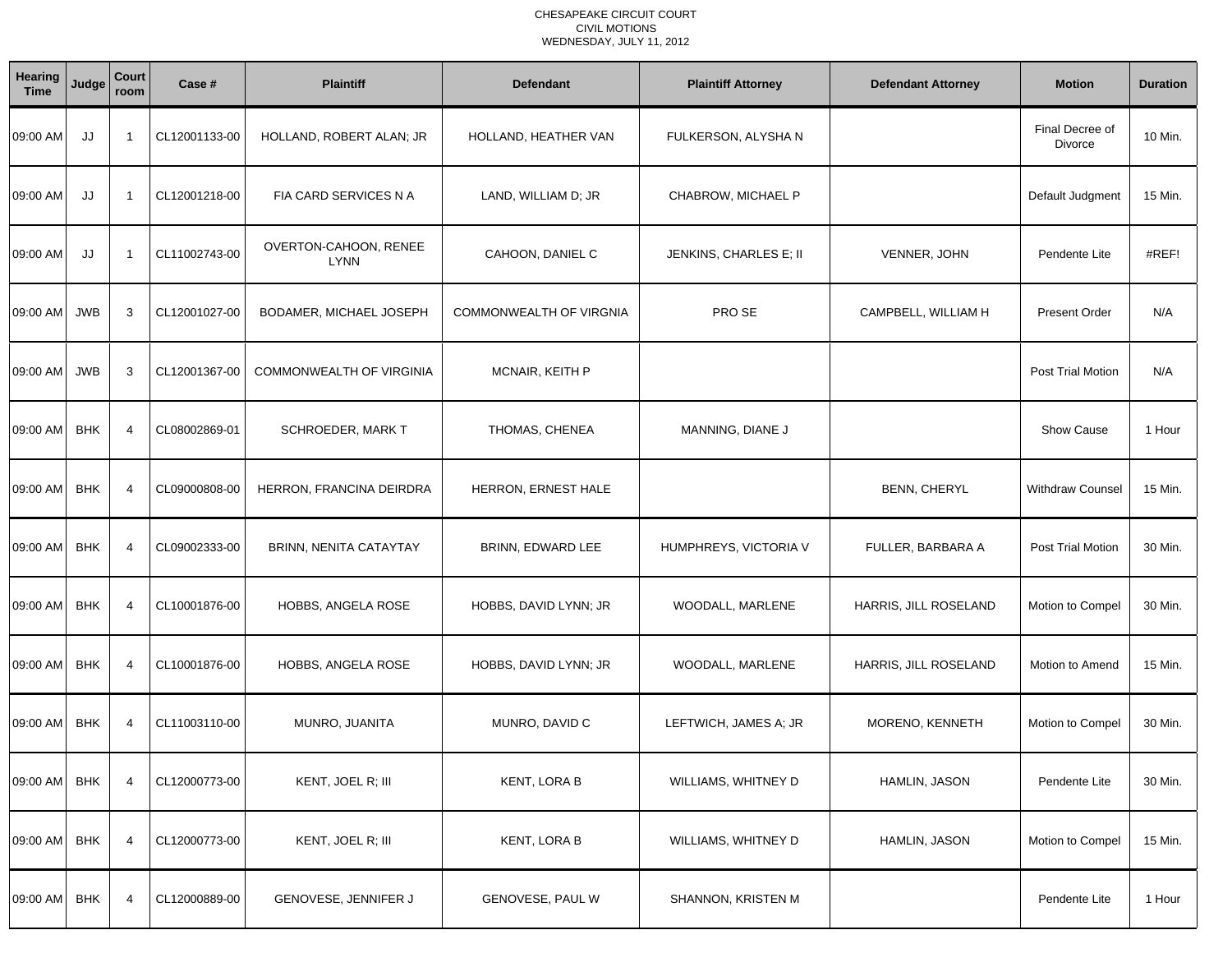| Hearing<br><b>Time</b> | Judge      | Court<br>room  | Case #        | <b>Plaintiff</b>                     | <b>Defendant</b>        | <b>Plaintiff Attorney</b> | <b>Defendant Attorney</b> | <b>Motion</b>              | <b>Duration</b> |
|------------------------|------------|----------------|---------------|--------------------------------------|-------------------------|---------------------------|---------------------------|----------------------------|-----------------|
| 09:00 AM               | JJ         | -1             | CL12001133-00 | HOLLAND, ROBERT ALAN; JR             | HOLLAND, HEATHER VAN    | FULKERSON, ALYSHAN        |                           | Final Decree of<br>Divorce | 10 Min.         |
| 09:00 AM               | JJ         | -1             | CL12001218-00 | FIA CARD SERVICES N A                | LAND, WILLIAM D; JR     | CHABROW, MICHAEL P        |                           | Default Judgment           | 15 Min.         |
| 09:00 AM               | JJ         | $\overline{1}$ | CL11002743-00 | OVERTON-CAHOON, RENEE<br><b>LYNN</b> | CAHOON, DANIEL C        | JENKINS, CHARLES E; II    | VENNER, JOHN              | Pendente Lite              | #REF!           |
| 09:00 AM               | <b>JWB</b> | 3              | CL12001027-00 | BODAMER, MICHAEL JOSEPH              | COMMONWEALTH OF VIRGNIA | PRO SE                    | CAMPBELL, WILLIAM H       | <b>Present Order</b>       | N/A             |
| 09:00 AM               | <b>JWB</b> | 3              | CL12001367-00 | COMMONWEALTH OF VIRGINIA             | <b>MCNAIR, KEITH P</b>  |                           |                           | Post Trial Motion          | N/A             |
| 09:00 AM               | <b>BHK</b> | $\overline{4}$ | CL08002869-01 | <b>SCHROEDER, MARK T</b>             | THOMAS, CHENEA          | MANNING, DIANE J          |                           | <b>Show Cause</b>          | 1 Hour          |
| 09:00 AM               | <b>BHK</b> | $\overline{4}$ | CL09000808-00 | HERRON, FRANCINA DEIRDRA             | HERRON, ERNEST HALE     |                           | <b>BENN, CHERYL</b>       | <b>Withdraw Counsel</b>    | 15 Min.         |
| 09:00 AM               | <b>BHK</b> | $\overline{4}$ | CL09002333-00 | BRINN, NENITA CATAYTAY               | BRINN, EDWARD LEE       | HUMPHREYS, VICTORIA V     | FULLER, BARBARA A         | <b>Post Trial Motion</b>   | 30 Min.         |
| 09:00 AM               | <b>BHK</b> | 4              | CL10001876-00 | HOBBS, ANGELA ROSE                   | HOBBS, DAVID LYNN; JR   | WOODALL, MARLENE          | HARRIS, JILL ROSELAND     | Motion to Compel           | 30 Min.         |
| 09:00 AM               | <b>BHK</b> | 4              | CL10001876-00 | HOBBS, ANGELA ROSE                   | HOBBS, DAVID LYNN; JR   | WOODALL, MARLENE          | HARRIS, JILL ROSELAND     | Motion to Amend            | 15 Min.         |
| 09:00 AM               | <b>BHK</b> | $\overline{4}$ | CL11003110-00 | MUNRO, JUANITA                       | MUNRO, DAVID C          | LEFTWICH, JAMES A; JR     | MORENO, KENNETH           | Motion to Compel           | 30 Min.         |
| 09:00 AM BHK           |            | 4              | CL12000773-00 | KENT, JOEL R; III                    | KENT, LORA B            | WILLIAMS, WHITNEY D       | HAMLIN, JASON             | Pendente Lite              | 30 Min.         |
| 09:00 AM               | <b>BHK</b> | $\overline{4}$ | CL12000773-00 | KENT, JOEL R; III                    | <b>KENT, LORA B</b>     | WILLIAMS, WHITNEY D       | HAMLIN, JASON             | Motion to Compel           | 15 Min.         |
| 09:00 AM               | <b>BHK</b> | $\overline{4}$ | CL12000889-00 | GENOVESE, JENNIFER J                 | GENOVESE, PAUL W        | SHANNON, KRISTEN M        |                           | Pendente Lite              | 1 Hour          |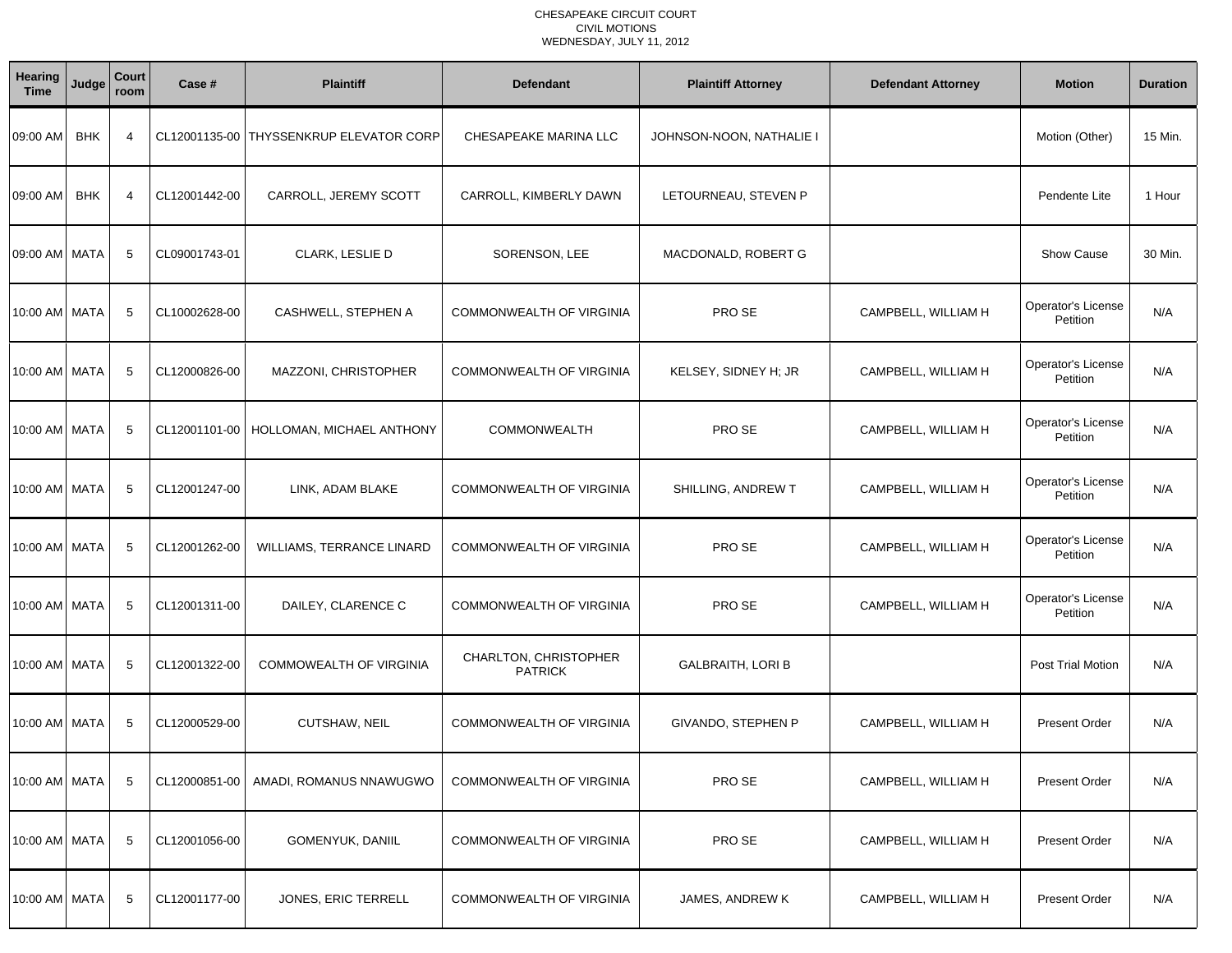| <b>Hearing</b><br><b>Time</b> | Judge      | Court<br>room  | Case #        | <b>Plaintiff</b>                        | <b>Defendant</b>                        | <b>Plaintiff Attorney</b> | <b>Defendant Attorney</b> | <b>Motion</b>                  | <b>Duration</b> |
|-------------------------------|------------|----------------|---------------|-----------------------------------------|-----------------------------------------|---------------------------|---------------------------|--------------------------------|-----------------|
| 09:00 AM                      | <b>BHK</b> | $\overline{4}$ |               | CL12001135-00 THYSSENKRUP ELEVATOR CORP | CHESAPEAKE MARINA LLC                   | JOHNSON-NOON, NATHALIE I  |                           | Motion (Other)                 | 15 Min.         |
| 09:00 AM                      | <b>BHK</b> | $\overline{4}$ | CL12001442-00 | CARROLL, JEREMY SCOTT                   | CARROLL, KIMBERLY DAWN                  | LETOURNEAU, STEVEN P      |                           | Pendente Lite                  | 1 Hour          |
| 09:00 AM   MATA               |            | 5              | CL09001743-01 | CLARK, LESLIE D                         | SORENSON, LEE                           | MACDONALD, ROBERT G       |                           | Show Cause                     | 30 Min.         |
| 10:00 AM   MATA               |            | 5              | CL10002628-00 | CASHWELL, STEPHEN A                     | <b>COMMONWEALTH OF VIRGINIA</b>         | PRO SE                    | CAMPBELL, WILLIAM H       | Operator's License<br>Petition | N/A             |
| 10:00 AM   MATA               |            | 5              | CL12000826-00 | MAZZONI, CHRISTOPHER                    | COMMONWEALTH OF VIRGINIA                | KELSEY, SIDNEY H; JR      | CAMPBELL, WILLIAM H       | Operator's License<br>Petition | N/A             |
| 10:00 AM   MATA               |            | 5              | CL12001101-00 | HOLLOMAN, MICHAEL ANTHONY               | COMMONWEALTH                            | PRO SE                    | CAMPBELL, WILLIAM H       | Operator's License<br>Petition | N/A             |
| 10:00 AM   MATA               |            | 5              | CL12001247-00 | LINK, ADAM BLAKE                        | <b>COMMONWEALTH OF VIRGINIA</b>         | SHILLING, ANDREW T        | CAMPBELL, WILLIAM H       | Operator's License<br>Petition | N/A             |
| 10:00 AM   MATA               |            | 5              | CL12001262-00 | WILLIAMS, TERRANCE LINARD               | COMMONWEALTH OF VIRGINIA                | PRO SE                    | CAMPBELL, WILLIAM H       | Operator's License<br>Petition | N/A             |
| 10:00 AM   MATA               |            | 5              | CL12001311-00 | DAILEY, CLARENCE C                      | COMMONWEALTH OF VIRGINIA                | PRO SE                    | CAMPBELL, WILLIAM H       | Operator's License<br>Petition | N/A             |
| 10:00 AM   MATA               |            | 5              | CL12001322-00 | COMMOWEALTH OF VIRGINIA                 | CHARLTON, CHRISTOPHER<br><b>PATRICK</b> | <b>GALBRAITH, LORI B</b>  |                           | <b>Post Trial Motion</b>       | N/A             |
| 10:00 AM MATA                 |            | -5             | CL12000529-00 | <b>CUTSHAW, NEIL</b>                    | COMMONWEALTH OF VIRGINIA                | GIVANDO, STEPHEN P        | CAMPBELL, WILLIAM H       | <b>Present Order</b>           | N/A             |
| 10:00 AM MATA                 |            | -5             | CL12000851-00 | AMADI, ROMANUS NNAWUGWO                 | COMMONWEALTH OF VIRGINIA                | PRO SE                    | CAMPBELL, WILLIAM H       | <b>Present Order</b>           | N/A             |
| 10:00 AM MATA                 |            | -5             | CL12001056-00 | GOMENYUK, DANIIL                        | COMMONWEALTH OF VIRGINIA                | PRO SE                    | CAMPBELL, WILLIAM H       | <b>Present Order</b>           | N/A             |
| 10:00 AM MATA                 |            | 5              | CL12001177-00 | JONES, ERIC TERRELL                     | <b>COMMONWEALTH OF VIRGINIA</b>         | JAMES, ANDREW K           | CAMPBELL, WILLIAM H       | Present Order                  | N/A             |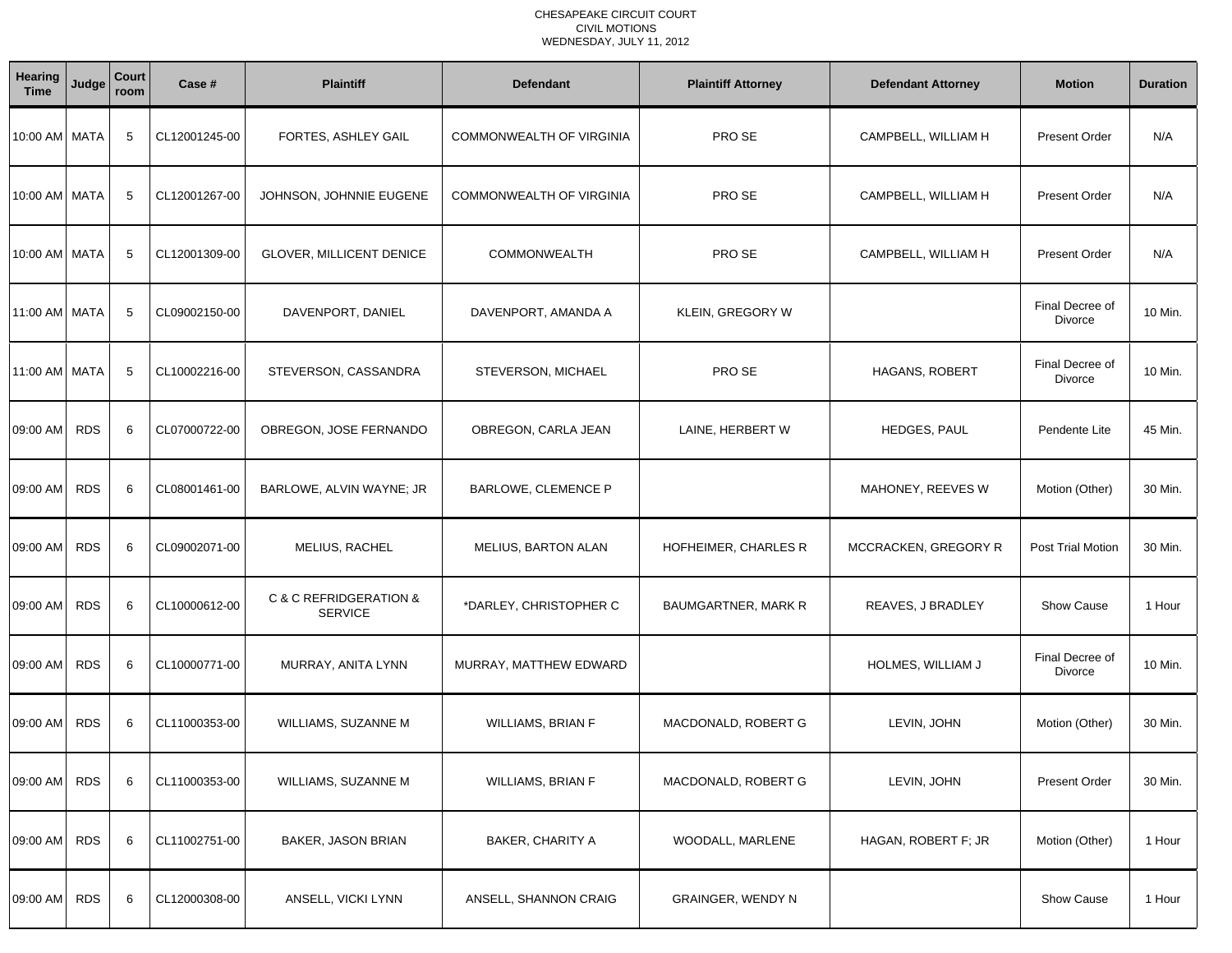| Hearing<br><b>Time</b> | Judge      | Court<br>room | Case #        | <b>Plaintiff</b>                         | <b>Defendant</b>           | <b>Plaintiff Attorney</b> | <b>Defendant Attorney</b> | <b>Motion</b>              | <b>Duration</b> |
|------------------------|------------|---------------|---------------|------------------------------------------|----------------------------|---------------------------|---------------------------|----------------------------|-----------------|
| 10:00 AM   MATA        |            | 5             | CL12001245-00 | FORTES, ASHLEY GAIL                      | COMMONWEALTH OF VIRGINIA   | PRO SE                    | CAMPBELL, WILLIAM H       | <b>Present Order</b>       | N/A             |
| 10:00 AM   MATA        |            | 5             | CL12001267-00 | JOHNSON, JOHNNIE EUGENE                  | COMMONWEALTH OF VIRGINIA   | PRO SE                    | CAMPBELL, WILLIAM H       | <b>Present Order</b>       | N/A             |
| 10:00 AM   MATA        |            | 5             | CL12001309-00 | GLOVER, MILLICENT DENICE                 | <b>COMMONWEALTH</b>        | PRO SE                    | CAMPBELL, WILLIAM H       | <b>Present Order</b>       | N/A             |
| 11:00 AM   MATA        |            | 5             | CL09002150-00 | DAVENPORT, DANIEL                        | DAVENPORT, AMANDA A        | KLEIN, GREGORY W          |                           | Final Decree of<br>Divorce | 10 Min.         |
| 11:00 AM MATA          |            | 5             | CL10002216-00 | STEVERSON, CASSANDRA                     | STEVERSON, MICHAEL         | PRO SE                    | <b>HAGANS, ROBERT</b>     | Final Decree of<br>Divorce | 10 Min.         |
| 09:00 AM               | <b>RDS</b> | 6             | CL07000722-00 | OBREGON, JOSE FERNANDO                   | OBREGON, CARLA JEAN        | LAINE, HERBERT W          | HEDGES, PAUL              | Pendente Lite              | 45 Min.         |
| 09:00 AM               | <b>RDS</b> | 6             | CL08001461-00 | BARLOWE, ALVIN WAYNE; JR                 | <b>BARLOWE, CLEMENCE P</b> |                           | MAHONEY, REEVES W         | Motion (Other)             | 30 Min.         |
| 09:00 AM               | <b>RDS</b> | 6             | CL09002071-00 | MELIUS, RACHEL                           | <b>MELIUS, BARTON ALAN</b> | HOFHEIMER, CHARLES R      | MCCRACKEN, GREGORY R      | Post Trial Motion          | 30 Min.         |
| 09:00 AM               | <b>RDS</b> | 6             | CL10000612-00 | C & C REFRIDGERATION &<br><b>SERVICE</b> | *DARLEY, CHRISTOPHER C     | BAUMGARTNER, MARK R       | REAVES, J BRADLEY         | Show Cause                 | 1 Hour          |
| 09:00 AM               | <b>RDS</b> | 6             | CL10000771-00 | MURRAY, ANITA LYNN                       | MURRAY, MATTHEW EDWARD     |                           | HOLMES, WILLIAM J         | Final Decree of<br>Divorce | 10 Min.         |
| 09:00 AM               | <b>RDS</b> | 6             | CL11000353-00 | WILLIAMS, SUZANNE M                      | <b>WILLIAMS, BRIAN F</b>   | MACDONALD, ROBERT G       | LEVIN, JOHN               | Motion (Other)             | 30 Min.         |
| 09:00 AM RDS           |            | 6             | CL11000353-00 | WILLIAMS, SUZANNE M                      | <b>WILLIAMS, BRIAN F</b>   | MACDONALD, ROBERT G       | LEVIN, JOHN               | <b>Present Order</b>       | 30 Min.         |
| 09:00 AM               | <b>RDS</b> | 6             | CL11002751-00 | BAKER, JASON BRIAN                       | BAKER, CHARITY A           | WOODALL, MARLENE          | HAGAN, ROBERT F; JR       | Motion (Other)             | 1 Hour          |
| 09:00 AM RDS           |            | 6             | CL12000308-00 | ANSELL, VICKI LYNN                       | ANSELL, SHANNON CRAIG      | GRAINGER, WENDY N         |                           | Show Cause                 | 1 Hour          |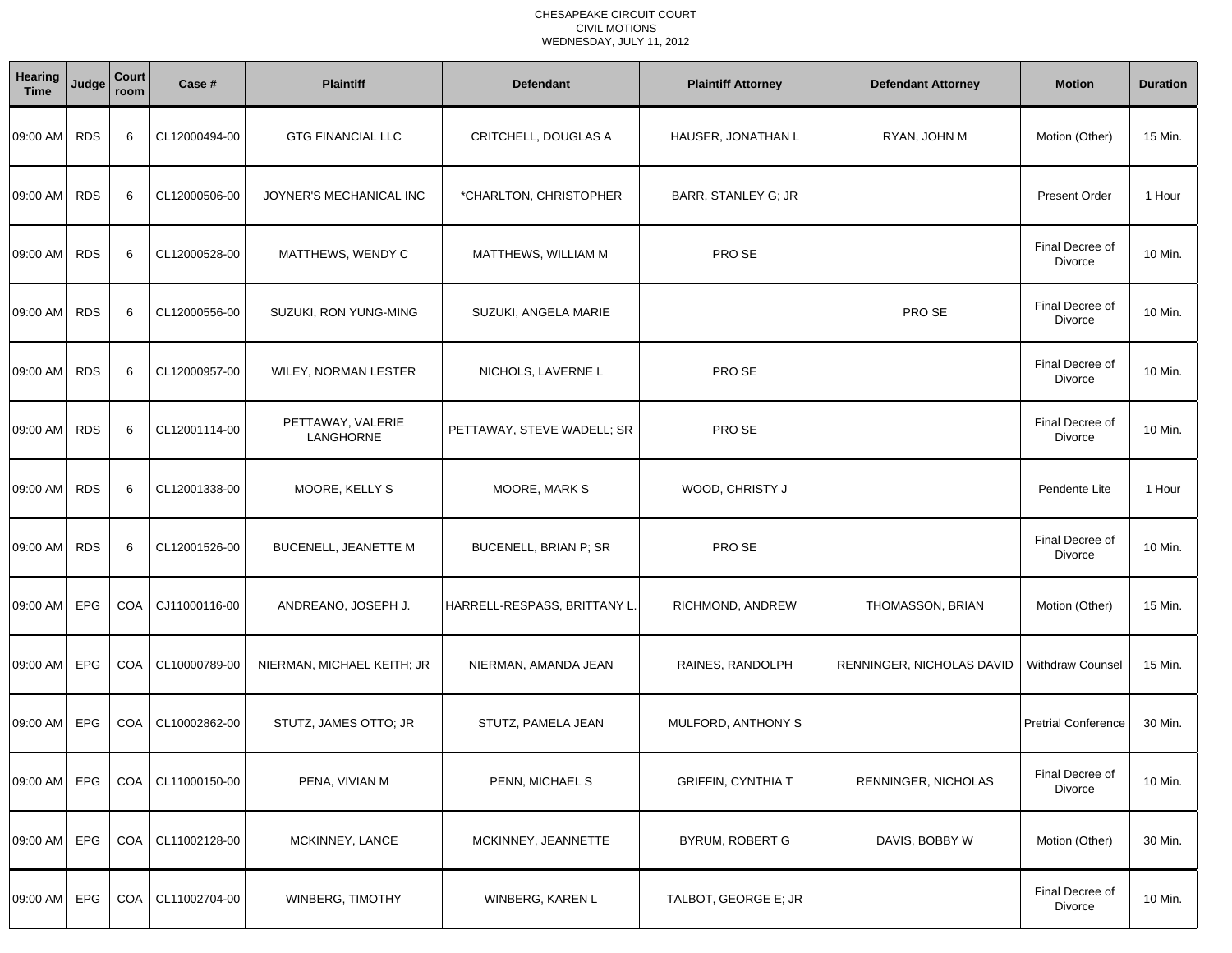| Hearing<br><b>Time</b> | Judge      | Court<br>room | Case #        | <b>Plaintiff</b>               | <b>Defendant</b>             | <b>Plaintiff Attorney</b> | <b>Defendant Attorney</b> | <b>Motion</b>              | <b>Duration</b> |
|------------------------|------------|---------------|---------------|--------------------------------|------------------------------|---------------------------|---------------------------|----------------------------|-----------------|
| 09:00 AM               | <b>RDS</b> | 6             | CL12000494-00 | <b>GTG FINANCIAL LLC</b>       | CRITCHELL, DOUGLAS A         | HAUSER, JONATHAN L        | RYAN, JOHN M              | Motion (Other)             | 15 Min.         |
| 09:00 AM               | <b>RDS</b> | 6             | CL12000506-00 | JOYNER'S MECHANICAL INC        | *CHARLTON, CHRISTOPHER       | BARR, STANLEY G; JR       |                           | <b>Present Order</b>       | 1 Hour          |
| 09:00 AM               | <b>RDS</b> | 6             | CL12000528-00 | MATTHEWS, WENDY C              | MATTHEWS, WILLIAM M          | PRO SE                    |                           | Final Decree of<br>Divorce | 10 Min.         |
| 09:00 AM               | <b>RDS</b> | 6             | CL12000556-00 | SUZUKI, RON YUNG-MING          | SUZUKI, ANGELA MARIE         |                           | PRO SE                    | Final Decree of<br>Divorce | 10 Min.         |
| 09:00 AM               | <b>RDS</b> | 6             | CL12000957-00 | <b>WILEY, NORMAN LESTER</b>    | NICHOLS, LAVERNE L           | PRO SE                    |                           | Final Decree of<br>Divorce | 10 Min.         |
| 09:00 AM               | <b>RDS</b> | 6             | CL12001114-00 | PETTAWAY, VALERIE<br>LANGHORNE | PETTAWAY, STEVE WADELL; SR   | PRO SE                    |                           | Final Decree of<br>Divorce | 10 Min.         |
| 09:00 AM               | <b>RDS</b> | 6             | CL12001338-00 | MOORE, KELLY S                 | MOORE, MARK S                | WOOD, CHRISTY J           |                           | Pendente Lite              | 1 Hour          |
| 09:00 AM               | <b>RDS</b> | 6             | CL12001526-00 | <b>BUCENELL, JEANETTE M</b>    | <b>BUCENELL, BRIAN P; SR</b> | PRO SE                    |                           | Final Decree of<br>Divorce | 10 Min.         |
| 09:00 AM               | <b>EPG</b> | <b>COA</b>    | CJ11000116-00 | ANDREANO, JOSEPH J.            | HARRELL-RESPASS, BRITTANY L  | RICHMOND, ANDREW          | THOMASSON, BRIAN          | Motion (Other)             | 15 Min.         |
| 09:00 AM               | EPG        | <b>COA</b>    | CL10000789-00 | NIERMAN, MICHAEL KEITH; JR     | NIERMAN, AMANDA JEAN         | RAINES, RANDOLPH          | RENNINGER, NICHOLAS DAVID | <b>Withdraw Counsel</b>    | 15 Min.         |
| 09:00 AM               | EPG        | COA           | CL10002862-00 | STUTZ, JAMES OTTO; JR          | STUTZ, PAMELA JEAN           | MULFORD, ANTHONY S        |                           | <b>Pretrial Conference</b> | 30 Min.         |
| 09:00 AM EPG           |            | COA           | CL11000150-00 | PENA, VIVIAN M                 | PENN, MICHAEL S              | <b>GRIFFIN, CYNTHIA T</b> | RENNINGER, NICHOLAS       | Final Decree of<br>Divorce | 10 Min.         |
| 09:00 AM EPG           |            | COA           | CL11002128-00 | MCKINNEY, LANCE                | MCKINNEY, JEANNETTE          | <b>BYRUM, ROBERT G</b>    | DAVIS, BOBBY W            | Motion (Other)             | 30 Min.         |
| 09:00 AM EPG           |            | COA           | CL11002704-00 | WINBERG, TIMOTHY               | WINBERG, KAREN L             | TALBOT, GEORGE E; JR      |                           | Final Decree of<br>Divorce | 10 Min.         |